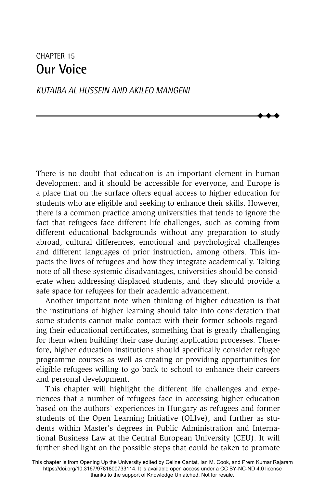# CHAPTER 15 **Our Voice**

#### *KUTAIBA AL HUSSEIN AND AKILEO MANGENI*

There is no doubt that education is an important element in human development and it should be accessible for everyone, and Europe is a place that on the surface offers equal access to higher education for students who are eligible and seeking to enhance their skills. However, there is a common practice among universities that tends to ignore the fact that refugees face different life challenges, such as coming from different educational backgrounds without any preparation to study abroad, cultural differences, emotional and psychological challenges and different languages of prior instruction, among others. This impacts the lives of refugees and how they integrate academically. Taking note of all these systemic disadvantages, universities should be considerate when addressing displaced students, and they should provide a safe space for refugees for their academic advancement.

 $\ddot{\bullet}$  $\blacklozenge$  $\blacklozenge$ 

Another important note when thinking of higher education is that the institutions of higher learning should take into consideration that some students cannot make contact with their former schools regarding their educational certificates, something that is greatly challenging for them when building their case during application processes. Therefore, higher education institutions should specifically consider refugee programme courses as well as creating or providing opportunities for eligible refugees willing to go back to school to enhance their careers and personal development.

This chapter will highlight the different life challenges and experiences that a number of refugees face in accessing higher education based on the authors' experiences in Hungary as refugees and former students of the Open Learning Initiative (OLIve), and further as students within Master's degrees in Public Administration and International Business Law at the Central European University (CEU). It will further shed light on the possible steps that could be taken to promote

This chapter is from Opening Up the University edited by Céline Cantat, Ian M. Cook, and Prem Kumar Rajaram https://doi.org/10.3167/9781800733114. It is available open access under a CC BY-NC-ND 4.0 license thanks to the support of Knowledge Unlatched. Not for resale.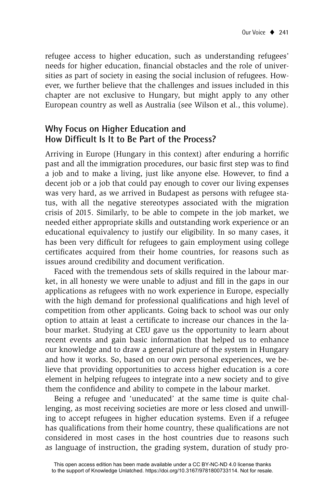refugee access to higher education, such as understanding refugees' needs for higher education, financial obstacles and the role of universities as part of society in easing the social inclusion of refugees. However, we further believe that the challenges and issues included in this chapter are not exclusive to Hungary, but might apply to any other European country as well as Australia (see Wilson et al., this volume).

# **Why Focus on Higher Education and How Difficult Is It to Be Part of the Process?**

Arriving in Europe (Hungary in this context) after enduring a horrific past and all the immigration procedures, our basic first step was to find a job and to make a living, just like anyone else. However, to find a decent job or a job that could pay enough to cover our living expenses was very hard, as we arrived in Budapest as persons with refugee status, with all the negative stereotypes associated with the migration crisis of 2015. Similarly, to be able to compete in the job market, we needed either appropriate skills and outstanding work experience or an educational equivalency to justify our eligibility. In so many cases, it has been very difficult for refugees to gain employment using college certificates acquired from their home countries, for reasons such as issues around credibility and document verification.

Faced with the tremendous sets of skills required in the labour market, in all honesty we were unable to adjust and fill in the gaps in our applications as refugees with no work experience in Europe, especially with the high demand for professional qualifications and high level of competition from other applicants. Going back to school was our only option to attain at least a certificate to increase our chances in the labour market. Studying at CEU gave us the opportunity to learn about recent events and gain basic information that helped us to enhance our knowledge and to draw a general picture of the system in Hungary and how it works. So, based on our own personal experiences, we believe that providing opportunities to access higher education is a core element in helping refugees to integrate into a new society and to give them the confidence and ability to compete in the labour market.

Being a refugee and 'uneducated' at the same time is quite challenging, as most receiving societies are more or less closed and unwilling to accept refugees in higher education systems. Even if a refugee has qualifications from their home country, these qualifications are not considered in most cases in the host countries due to reasons such as language of instruction, the grading system, duration of study pro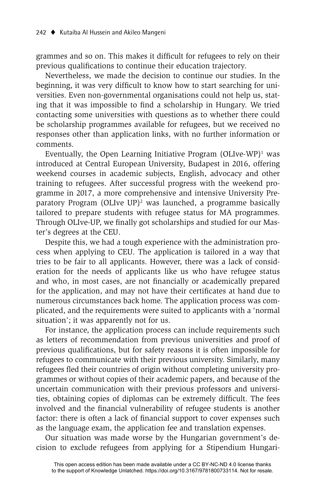grammes and so on. This makes it difficult for refugees to rely on their previous qualifications to continue their education trajectory.

Nevertheless, we made the decision to continue our studies. In the beginning, it was very difficult to know how to start searching for universities. Even non-governmental organisations could not help us, stating that it was impossible to find a scholarship in Hungary. We tried contacting some universities with questions as to whether there could be scholarship programmes available for refugees, but we received no responses other than application links, with no further information or comments.

Eventually, the Open Learning Initiative Program (OLIve-WP)<sup>1</sup> was introduced at Central European University, Budapest in 2016, offering weekend courses in academic subjects, English, advocacy and other training to refugees. After successful progress with the weekend programme in 2017, a more comprehensive and intensive University Preparatory Program (OLIve UP)<sup>2</sup> was launched, a programme basically tailored to prepare students with refugee status for MA programmes. Through OLIve-UP, we finally got scholarships and studied for our Master's degrees at the CEU.

Despite this, we had a tough experience with the administration process when applying to CEU. The application is tailored in a way that tries to be fair to all applicants. However, there was a lack of consideration for the needs of applicants like us who have refugee status and who, in most cases, are not financially or academically prepared for the application, and may not have their certificates at hand due to numerous circumstances back home. The application process was complicated, and the requirements were suited to applicants with a 'normal situation'; it was apparently not for us.

For instance, the application process can include requirements such as letters of recommendation from previous universities and proof of previous qualifications, but for safety reasons it is often impossible for refugees to communicate with their previous university. Similarly, many refugees fled their countries of origin without completing university programmes or without copies of their academic papers, and because of the uncertain communication with their previous professors and universities, obtaining copies of diplomas can be extremely difficult. The fees involved and the financial vulnerability of refugee students is another factor: there is often a lack of financial support to cover expenses such as the language exam, the application fee and translation expenses.

Our situation was made worse by the Hungarian government's decision to exclude refugees from applying for a Stipendium Hungari-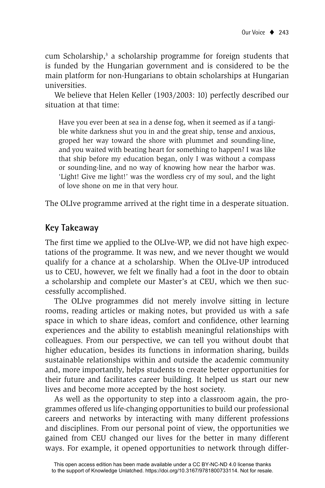cum Scholarship,<sup>3</sup> a scholarship programme for foreign students that is funded by the Hungarian government and is considered to be the main platform for non-Hungarians to obtain scholarships at Hungarian universities.

We believe that Helen Keller (1903/2003: 10) perfectly described our situation at that time:

Have you ever been at sea in a dense fog, when it seemed as if a tangible white darkness shut you in and the great ship, tense and anxious, groped her way toward the shore with plummet and sounding-line, and you waited with beating heart for something to happen? I was like that ship before my education began, only I was without a compass or sounding-line, and no way of knowing how near the harbor was. 'Light! Give me light!' was the wordless cry of my soul, and the light of love shone on me in that very hour.

The OLIve programme arrived at the right time in a desperate situation.

### **Key Takeaway**

The first time we applied to the OLIve-WP, we did not have high expectations of the programme. It was new, and we never thought we would qualify for a chance at a scholarship. When the OLIve-UP introduced us to CEU, however, we felt we finally had a foot in the door to obtain a scholarship and complete our Master's at CEU, which we then successfully accomplished.

The OLIve programmes did not merely involve sitting in lecture rooms, reading articles or making notes, but provided us with a safe space in which to share ideas, comfort and confidence, other learning experiences and the ability to establish meaningful relationships with colleagues. From our perspective, we can tell you without doubt that higher education, besides its functions in information sharing, builds sustainable relationships within and outside the academic community and, more importantly, helps students to create better opportunities for their future and facilitates career building. It helped us start our new lives and become more accepted by the host society.

As well as the opportunity to step into a classroom again, the programmes offered us life-changing opportunities to build our professional careers and networks by interacting with many different professions and disciplines. From our personal point of view, the opportunities we gained from CEU changed our lives for the better in many different ways. For example, it opened opportunities to network through differ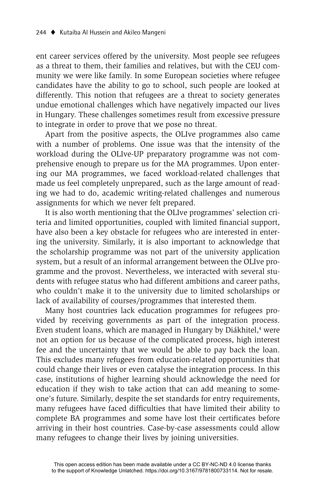ent career services offered by the university. Most people see refugees as a threat to them, their families and relatives, but with the CEU community we were like family. In some European societies where refugee candidates have the ability to go to school, such people are looked at differently. This notion that refugees are a threat to society generates undue emotional challenges which have negatively impacted our lives in Hungary. These challenges sometimes result from excessive pressure to integrate in order to prove that we pose no threat.

Apart from the positive aspects, the OLIve programmes also came with a number of problems. One issue was that the intensity of the workload during the OLIve-UP preparatory programme was not comprehensive enough to prepare us for the MA programmes. Upon entering our MA programmes, we faced workload-related challenges that made us feel completely unprepared, such as the large amount of reading we had to do, academic writing-related challenges and numerous assignments for which we never felt prepared.

It is also worth mentioning that the OLIve programmes' selection criteria and limited opportunities, coupled with limited financial support, have also been a key obstacle for refugees who are interested in entering the university. Similarly, it is also important to acknowledge that the scholarship programme was not part of the university application system, but a result of an informal arrangement between the OLIve programme and the provost. Nevertheless, we interacted with several students with refugee status who had different ambitions and career paths, who couldn't make it to the university due to limited scholarships or lack of availability of courses/programmes that interested them.

Many host countries lack education programmes for refugees provided by receiving governments as part of the integration process. Even student loans, which are managed in Hungary by Diákhitel,<sup>4</sup> were not an option for us because of the complicated process, high interest fee and the uncertainty that we would be able to pay back the loan. This excludes many refugees from education-related opportunities that could change their lives or even catalyse the integration process. In this case, institutions of higher learning should acknowledge the need for education if they wish to take action that can add meaning to someone's future. Similarly, despite the set standards for entry requirements, many refugees have faced difficulties that have limited their ability to complete BA programmes and some have lost their certificates before arriving in their host countries. Case-by-case assessments could allow many refugees to change their lives by joining universities.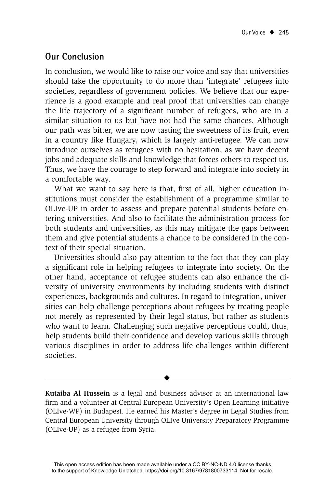# **Our Conclusion**

In conclusion, we would like to raise our voice and say that universities should take the opportunity to do more than 'integrate' refugees into societies, regardless of government policies. We believe that our experience is a good example and real proof that universities can change the life trajectory of a significant number of refugees, who are in a similar situation to us but have not had the same chances. Although our path was bitter, we are now tasting the sweetness of its fruit, even in a country like Hungary, which is largely anti-refugee. We can now introduce ourselves as refugees with no hesitation, as we have decent jobs and adequate skills and knowledge that forces others to respect us. Thus, we have the courage to step forward and integrate into society in a comfortable way.

What we want to say here is that, first of all, higher education institutions must consider the establishment of a programme similar to OLIve-UP in order to assess and prepare potential students before entering universities. And also to facilitate the administration process for both students and universities, as this may mitigate the gaps between them and give potential students a chance to be considered in the context of their special situation.

Universities should also pay attention to the fact that they can play a significant role in helping refugees to integrate into society. On the other hand, acceptance of refugee students can also enhance the diversity of university environments by including students with distinct experiences, backgrounds and cultures. In regard to integration, universities can help challenge perceptions about refugees by treating people not merely as represented by their legal status, but rather as students who want to learn. Challenging such negative perceptions could, thus, help students build their confidence and develop various skills through various disciplines in order to address life challenges within different societies.

**Kutaiba Al Hussein** is a legal and business advisor at an international law firm and a volunteer at Central European University's Open Learning initiative (OLIve-WP) in Budapest. He earned his Master's degree in Legal Studies from Central European University through OLIve University Preparatory Programme (OLIve-UP) as a refugee from Syria.

 $\ddot{\bullet}$